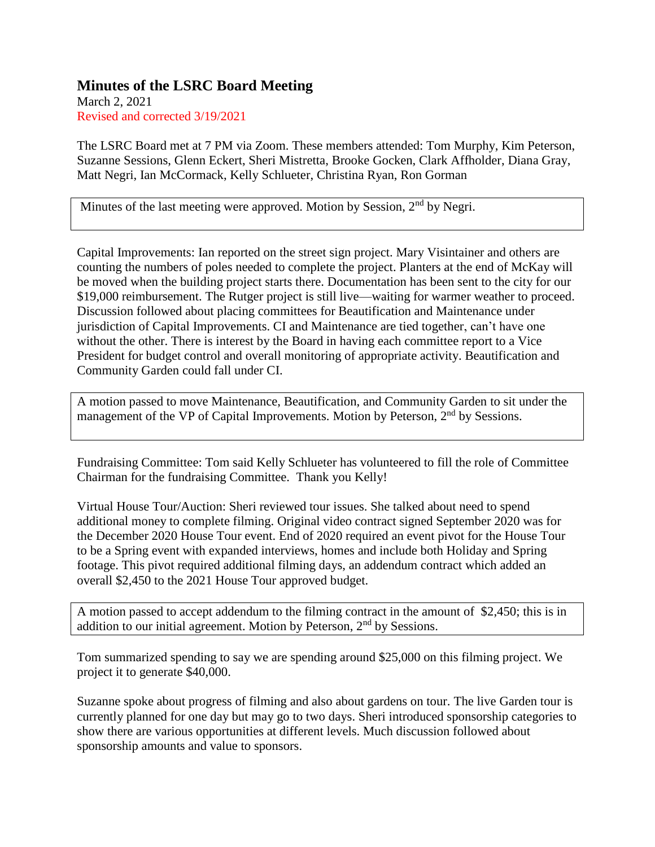## **Minutes of the LSRC Board Meeting**

March 2, 2021 Revised and corrected 3/19/2021

The LSRC Board met at 7 PM via Zoom. These members attended: Tom Murphy, Kim Peterson, Suzanne Sessions, Glenn Eckert, Sheri Mistretta, Brooke Gocken, Clark Affholder, Diana Gray, Matt Negri, Ian McCormack, Kelly Schlueter, Christina Ryan, Ron Gorman

Minutes of the last meeting were approved. Motion by Session, 2<sup>nd</sup> by Negri.

Capital Improvements: Ian reported on the street sign project. Mary Visintainer and others are counting the numbers of poles needed to complete the project. Planters at the end of McKay will be moved when the building project starts there. Documentation has been sent to the city for our \$19,000 reimbursement. The Rutger project is still live—waiting for warmer weather to proceed. Discussion followed about placing committees for Beautification and Maintenance under jurisdiction of Capital Improvements. CI and Maintenance are tied together, can't have one without the other. There is interest by the Board in having each committee report to a Vice President for budget control and overall monitoring of appropriate activity. Beautification and Community Garden could fall under CI.

A motion passed to move Maintenance, Beautification, and Community Garden to sit under the management of the VP of Capital Improvements. Motion by Peterson, 2<sup>nd</sup> by Sessions.

Fundraising Committee: Tom said Kelly Schlueter has volunteered to fill the role of Committee Chairman for the fundraising Committee. Thank you Kelly!

Virtual House Tour/Auction: Sheri reviewed tour issues. She talked about need to spend additional money to complete filming. Original video contract signed September 2020 was for the December 2020 House Tour event. End of 2020 required an event pivot for the House Tour to be a Spring event with expanded interviews, homes and include both Holiday and Spring footage. This pivot required additional filming days, an addendum contract which added an overall \$2,450 to the 2021 House Tour approved budget.

A motion passed to accept addendum to the filming contract in the amount of \$2,450; this is in addition to our initial agreement. Motion by Peterson, 2nd by Sessions.

Tom summarized spending to say we are spending around \$25,000 on this filming project. We project it to generate \$40,000.

Suzanne spoke about progress of filming and also about gardens on tour. The live Garden tour is currently planned for one day but may go to two days. Sheri introduced sponsorship categories to show there are various opportunities at different levels. Much discussion followed about sponsorship amounts and value to sponsors.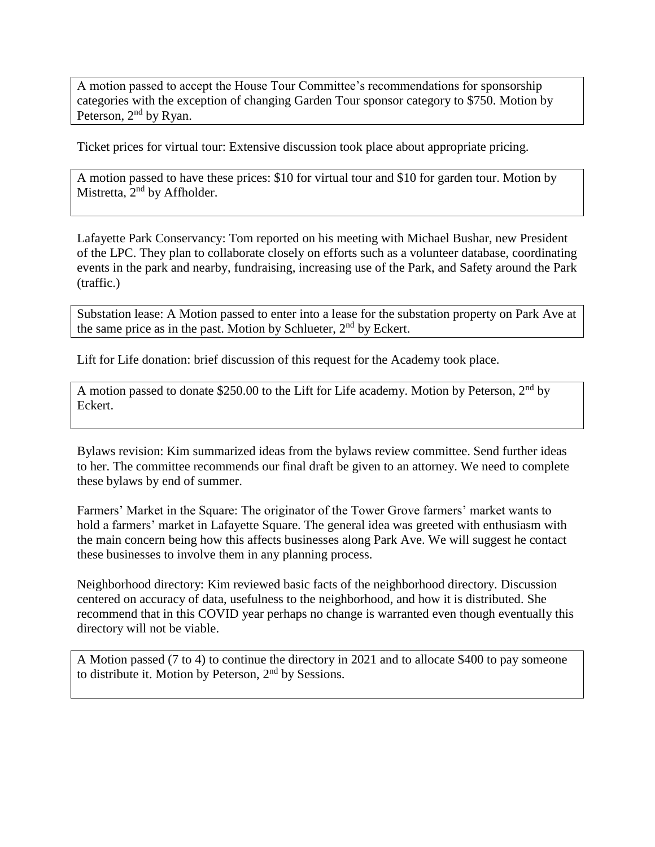A motion passed to accept the House Tour Committee's recommendations for sponsorship categories with the exception of changing Garden Tour sponsor category to \$750. Motion by Peterson, 2<sup>nd</sup> by Ryan.

Ticket prices for virtual tour: Extensive discussion took place about appropriate pricing.

A motion passed to have these prices: \$10 for virtual tour and \$10 for garden tour. Motion by Mistretta, 2<sup>nd</sup> by Affholder.

Lafayette Park Conservancy: Tom reported on his meeting with Michael Bushar, new President of the LPC. They plan to collaborate closely on efforts such as a volunteer database, coordinating events in the park and nearby, fundraising, increasing use of the Park, and Safety around the Park (traffic.)

Substation lease: A Motion passed to enter into a lease for the substation property on Park Ave at the same price as in the past. Motion by Schlueter,  $2<sup>nd</sup>$  by Eckert.

Lift for Life donation: brief discussion of this request for the Academy took place.

A motion passed to donate \$250.00 to the Lift for Life academy. Motion by Peterson, 2nd by Eckert.

Bylaws revision: Kim summarized ideas from the bylaws review committee. Send further ideas to her. The committee recommends our final draft be given to an attorney. We need to complete these bylaws by end of summer.

Farmers' Market in the Square: The originator of the Tower Grove farmers' market wants to hold a farmers' market in Lafayette Square. The general idea was greeted with enthusiasm with the main concern being how this affects businesses along Park Ave. We will suggest he contact these businesses to involve them in any planning process.

Neighborhood directory: Kim reviewed basic facts of the neighborhood directory. Discussion centered on accuracy of data, usefulness to the neighborhood, and how it is distributed. She recommend that in this COVID year perhaps no change is warranted even though eventually this directory will not be viable.

A Motion passed (7 to 4) to continue the directory in 2021 and to allocate \$400 to pay someone to distribute it. Motion by Peterson, 2<sup>nd</sup> by Sessions.